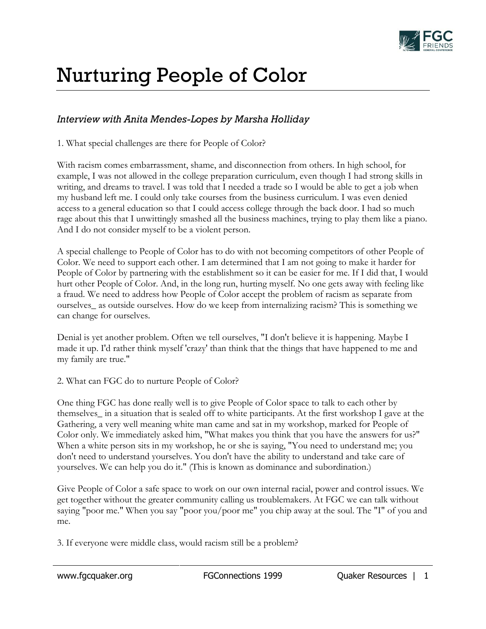

## Nurturing People of Color

## *Interview with Anita Mendes-Lopes by Marsha Holliday*

1. What special challenges are there for People of Color?

With racism comes embarrassment, shame, and disconnection from others. In high school, for example, I was not allowed in the college preparation curriculum, even though I had strong skills in writing, and dreams to travel. I was told that I needed a trade so I would be able to get a job when my husband left me. I could only take courses from the business curriculum. I was even denied access to a general education so that I could access college through the back door. I had so much rage about this that I unwittingly smashed all the business machines, trying to play them like a piano. And I do not consider myself to be a violent person.

A special challenge to People of Color has to do with not becoming competitors of other People of Color. We need to support each other. I am determined that I am not going to make it harder for People of Color by partnering with the establishment so it can be easier for me. If I did that, I would hurt other People of Color. And, in the long run, hurting myself. No one gets away with feeling like a fraud. We need to address how People of Color accept the problem of racism as separate from ourselves\_ as outside ourselves. How do we keep from internalizing racism? This is something we can change for ourselves.

Denial is yet another problem. Often we tell ourselves, "I don't believe it is happening. Maybe I made it up. I'd rather think myself 'crazy' than think that the things that have happened to me and my family are true."

## 2. What can FGC do to nurture People of Color?

One thing FGC has done really well is to give People of Color space to talk to each other by themselves\_ in a situation that is sealed off to white participants. At the first workshop I gave at the Gathering, a very well meaning white man came and sat in my workshop, marked for People of Color only. We immediately asked him, "What makes you think that you have the answers for us?" When a white person sits in my workshop, he or she is saying, "You need to understand me; you don't need to understand yourselves. You don't have the ability to understand and take care of yourselves. We can help you do it." (This is known as dominance and subordination.)

Give People of Color a safe space to work on our own internal racial, power and control issues. We get together without the greater community calling us troublemakers. At FGC we can talk without saying "poor me." When you say "poor you/poor me" you chip away at the soul. The "I" of you and me.

3. If everyone were middle class, would racism still be a problem?